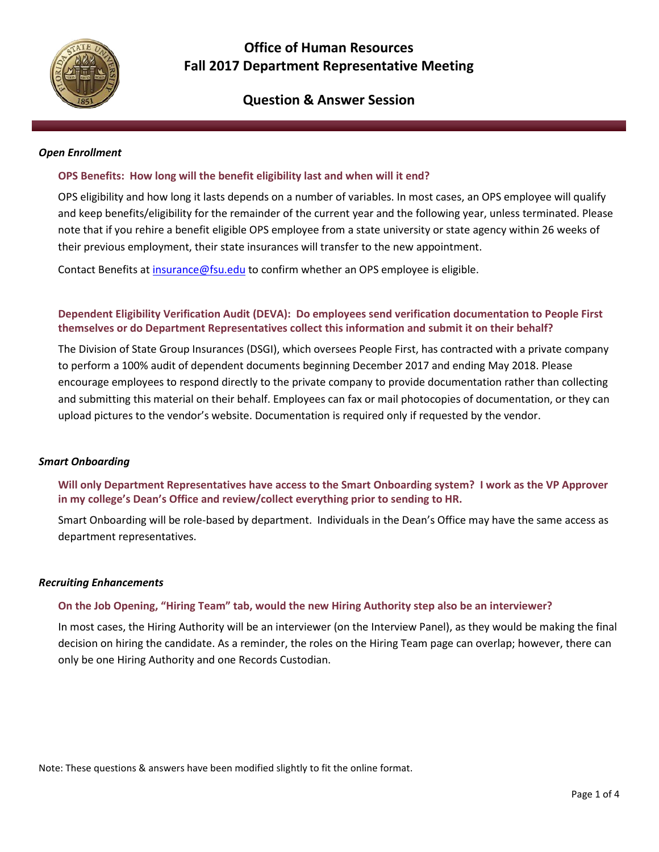

# **Office of Human Resources Fall 2017 Department Representative Meeting**

# **Question & Answer Session**

#### *Open Enrollment*

### **OPS Benefits: How long will the benefit eligibility last and when will it end?**

OPS eligibility and how long it lasts depends on a number of variables. In most cases, an OPS employee will qualify and keep benefits/eligibility for the remainder of the current year and the following year, unless terminated. Please note that if you rehire a benefit eligible OPS employee from a state university or state agency within 26 weeks of their previous employment, their state insurances will transfer to the new appointment.

Contact Benefits a[t insurance@fsu.edu](mailto:insurance@fsu.edu) to confirm whether an OPS employee is eligible.

# **Dependent Eligibility Verification Audit (DEVA): Do employees send verification documentation to People First themselves or do Department Representatives collect this information and submit it on their behalf?**

The Division of State Group Insurances (DSGI), which oversees People First, has contracted with a private company to perform a 100% audit of dependent documents beginning December 2017 and ending May 2018. Please encourage employees to respond directly to the private company to provide documentation rather than collecting and submitting this material on their behalf. Employees can fax or mail photocopies of documentation, or they can upload pictures to the vendor's website. Documentation is required only if requested by the vendor.

#### *Smart Onboarding*

# **Will only Department Representatives have access to the Smart Onboarding system? I work as the VP Approver in my college's Dean's Office and review/collect everything prior to sending to HR.**

Smart Onboarding will be role-based by department. Individuals in the Dean's Office may have the same access as department representatives.

#### *Recruiting Enhancements*

### **On the Job Opening, "Hiring Team" tab, would the new Hiring Authority step also be an interviewer?**

In most cases, the Hiring Authority will be an interviewer (on the Interview Panel), as they would be making the final decision on hiring the candidate. As a reminder, the roles on the Hiring Team page can overlap; however, there can only be one Hiring Authority and one Records Custodian.

Note: These questions & answers have been modified slightly to fit the online format.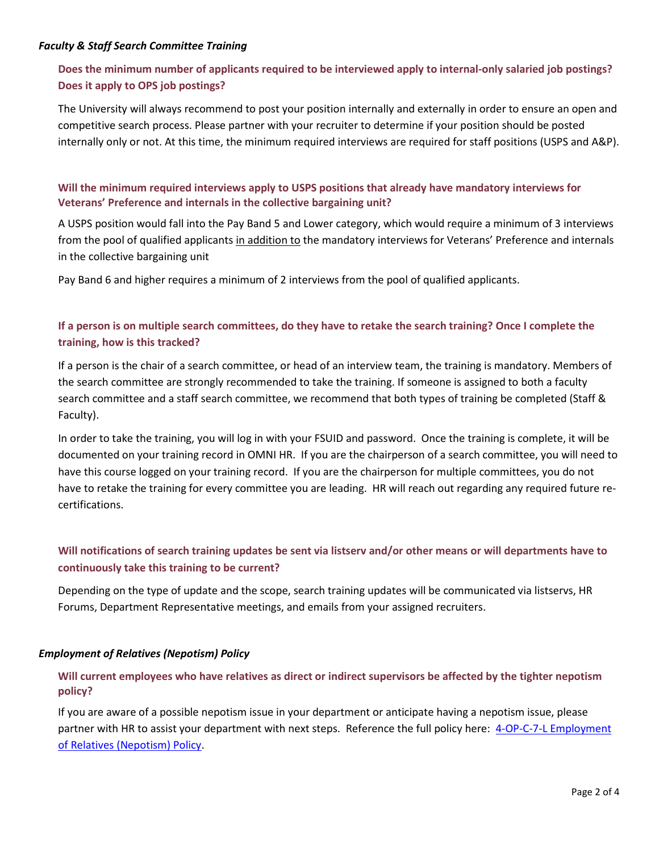### *Faculty & Staff Search Committee Training*

# **Does the minimum number of applicants required to be interviewed apply to internal-only salaried job postings? Does it apply to OPS job postings?**

The University will always recommend to post your position internally and externally in order to ensure an open and competitive search process. Please partner with your recruiter to determine if your position should be posted internally only or not. At this time, the minimum required interviews are required for staff positions (USPS and A&P).

# **Will the minimum required interviews apply to USPS positions that already have mandatory interviews for Veterans' Preference and internals in the collective bargaining unit?**

A USPS position would fall into the Pay Band 5 and Lower category, which would require a minimum of 3 interviews from the pool of qualified applicants in addition to the mandatory interviews for Veterans' Preference and internals in the collective bargaining unit

Pay Band 6 and higher requires a minimum of 2 interviews from the pool of qualified applicants.

# **If a person is on multiple search committees, do they have to retake the search training? Once I complete the training, how is this tracked?**

If a person is the chair of a search committee, or head of an interview team, the training is mandatory. Members of the search committee are strongly recommended to take the training. If someone is assigned to both a faculty search committee and a staff search committee, we recommend that both types of training be completed (Staff & Faculty).

In order to take the training, you will log in with your FSUID and password. Once the training is complete, it will be documented on your training record in OMNI HR. If you are the chairperson of a search committee, you will need to have this course logged on your training record. If you are the chairperson for multiple committees, you do not have to retake the training for every committee you are leading. HR will reach out regarding any required future recertifications.

# **Will notifications of search training updates be sent via listserv and/or other means or will departments have to continuously take this training to be current?**

Depending on the type of update and the scope, search training updates will be communicated via listservs, HR Forums, Department Representative meetings, and emails from your assigned recruiters.

### *Employment of Relatives (Nepotism) Policy*

# **Will current employees who have relatives as direct or indirect supervisors be affected by the tighter nepotism policy?**

If you are aware of a possible nepotism issue in your department or anticipate having a nepotism issue, please partner with HR to assist your department with next steps. Reference the full policy here: [4-OP-C-7-L Employment](http://policies.vpfa.fsu.edu/policies-and-procedures/faculty-staff/employment-relatives-nepotism-policy)  [of Relatives \(Nepotism\) Policy.](http://policies.vpfa.fsu.edu/policies-and-procedures/faculty-staff/employment-relatives-nepotism-policy)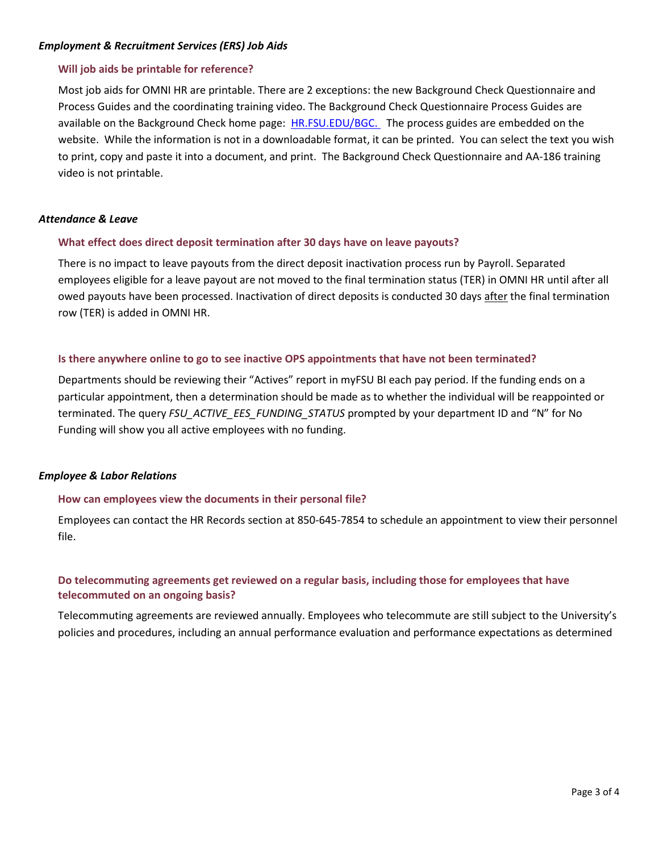### *Employment & Recruitment Services (ERS) Job Aids*

### **Will job aids be printable for reference?**

Most job aids for OMNI HR are printable. There are 2 exceptions: the new Background Check Questionnaire and Process Guides and the coordinating training video. The Background Check Questionnaire Process Guides are available on the Background Check home page: [HR.FSU.EDU/BGC.](http://hr.fsu.edu/?page=ers/bgc/1-home) The process guides are embedded on the website. While the information is not in a downloadable format, it can be printed. You can select the text you wish to print, copy and paste it into a document, and print. The Background Check Questionnaire and AA-186 training video is not printable.

### *Attendance & Leave*

### **What effect does direct deposit termination after 30 days have on leave payouts?**

There is no impact to leave payouts from the direct deposit inactivation process run by Payroll. Separated employees eligible for a leave payout are not moved to the final termination status (TER) in OMNI HR until after all owed payouts have been processed. Inactivation of direct deposits is conducted 30 days after the final termination row (TER) is added in OMNI HR.

### **Is there anywhere online to go to see inactive OPS appointments that have not been terminated?**

Departments should be reviewing their "Actives" report in myFSU BI each pay period. If the funding ends on a particular appointment, then a determination should be made as to whether the individual will be reappointed or terminated. The query *FSU\_ACTIVE\_EES\_FUNDING\_STATUS* prompted by your department ID and "N" for No Funding will show you all active employees with no funding.

#### *Employee & Labor Relations*

#### **How can employees view the documents in their personal file?**

Employees can contact the HR Records section at 850-645-7854 to schedule an appointment to view their personnel file.

# **Do telecommuting agreements get reviewed on a regular basis, including those for employees that have telecommuted on an ongoing basis?**

Telecommuting agreements are reviewed annually. Employees who telecommute are still subject to the University's policies and procedures, including an annual performance evaluation and performance expectations as determined